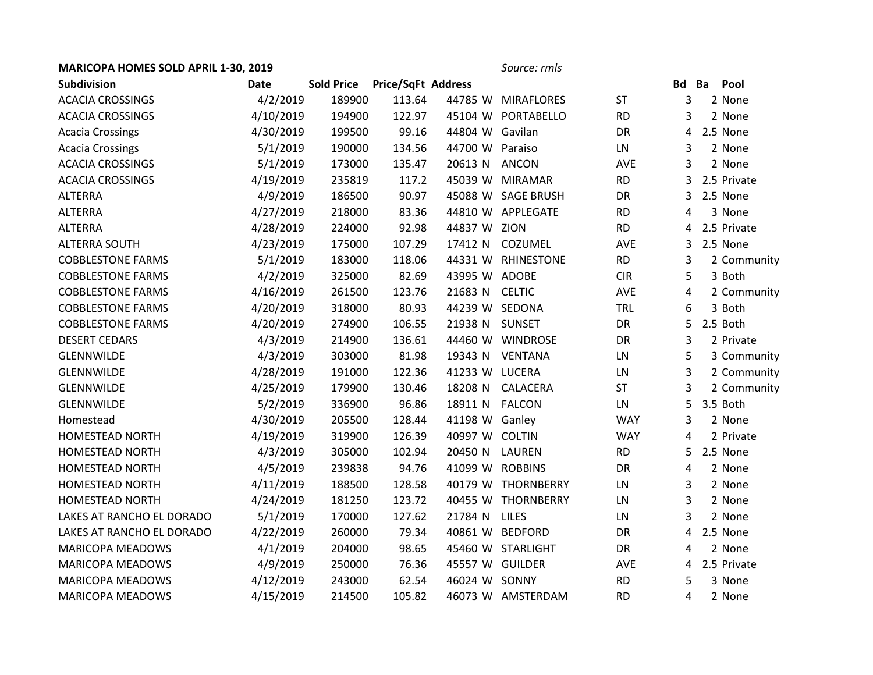## **MARICOPA HOMES SOLD APRIL 1-30, 2019** *Source: rmls*

| <b>Subdivision</b>        | Date      | <b>Sold Price</b> | Price/SqFt Address |                 |                    |            | Bd | Ba | Pool        |
|---------------------------|-----------|-------------------|--------------------|-----------------|--------------------|------------|----|----|-------------|
| <b>ACACIA CROSSINGS</b>   | 4/2/2019  | 189900            | 113.64             |                 | 44785 W MIRAFLORES | <b>ST</b>  | 3  |    | 2 None      |
| <b>ACACIA CROSSINGS</b>   | 4/10/2019 | 194900            | 122.97             |                 | 45104 W PORTABELLO | <b>RD</b>  | 3  |    | 2 None      |
| <b>Acacia Crossings</b>   | 4/30/2019 | 199500            | 99.16              | 44804 W Gavilan |                    | DR         | 4  |    | 2.5 None    |
| <b>Acacia Crossings</b>   | 5/1/2019  | 190000            | 134.56             | 44700 W Paraiso |                    | LN         | 3  |    | 2 None      |
| <b>ACACIA CROSSINGS</b>   | 5/1/2019  | 173000            | 135.47             | 20613 N         | <b>ANCON</b>       | AVE        | 3  |    | 2 None      |
| <b>ACACIA CROSSINGS</b>   | 4/19/2019 | 235819            | 117.2              |                 | 45039 W MIRAMAR    | <b>RD</b>  | 3  |    | 2.5 Private |
| <b>ALTERRA</b>            | 4/9/2019  | 186500            | 90.97              |                 | 45088 W SAGE BRUSH | <b>DR</b>  | 3  |    | 2.5 None    |
| <b>ALTERRA</b>            | 4/27/2019 | 218000            | 83.36              |                 | 44810 W APPLEGATE  | <b>RD</b>  | 4  |    | 3 None      |
| <b>ALTERRA</b>            | 4/28/2019 | 224000            | 92.98              | 44837 W ZION    |                    | <b>RD</b>  | 4  |    | 2.5 Private |
| <b>ALTERRA SOUTH</b>      | 4/23/2019 | 175000            | 107.29             | 17412 N         | COZUMEL            | <b>AVE</b> | 3  |    | 2.5 None    |
| <b>COBBLESTONE FARMS</b>  | 5/1/2019  | 183000            | 118.06             |                 | 44331 W RHINESTONE | <b>RD</b>  | 3  |    | 2 Community |
| <b>COBBLESTONE FARMS</b>  | 4/2/2019  | 325000            | 82.69              | 43995 W ADOBE   |                    | <b>CIR</b> | 5  |    | 3 Both      |
| <b>COBBLESTONE FARMS</b>  | 4/16/2019 | 261500            | 123.76             | 21683 N         | <b>CELTIC</b>      | AVE        | 4  |    | 2 Community |
| <b>COBBLESTONE FARMS</b>  | 4/20/2019 | 318000            | 80.93              | 44239 W SEDONA  |                    | TRL        | 6  |    | 3 Both      |
| <b>COBBLESTONE FARMS</b>  | 4/20/2019 | 274900            | 106.55             | 21938 N         | <b>SUNSET</b>      | <b>DR</b>  | 5  |    | 2.5 Both    |
| <b>DESERT CEDARS</b>      | 4/3/2019  | 214900            | 136.61             |                 | 44460 W WINDROSE   | DR         | 3  |    | 2 Private   |
| <b>GLENNWILDE</b>         | 4/3/2019  | 303000            | 81.98              | 19343 N         | <b>VENTANA</b>     | LN         | 5  |    | 3 Community |
| <b>GLENNWILDE</b>         | 4/28/2019 | 191000            | 122.36             | 41233 W LUCERA  |                    | LN         | 3  |    | 2 Community |
| <b>GLENNWILDE</b>         | 4/25/2019 | 179900            | 130.46             | 18208 N         | CALACERA           | <b>ST</b>  | 3  |    | 2 Community |
| <b>GLENNWILDE</b>         | 5/2/2019  | 336900            | 96.86              | 18911 N         | <b>FALCON</b>      | LN         | 5  |    | 3.5 Both    |
| Homestead                 | 4/30/2019 | 205500            | 128.44             | 41198 W Ganley  |                    | <b>WAY</b> | 3  |    | 2 None      |
| <b>HOMESTEAD NORTH</b>    | 4/19/2019 | 319900            | 126.39             | 40997 W COLTIN  |                    | <b>WAY</b> | 4  |    | 2 Private   |
| <b>HOMESTEAD NORTH</b>    | 4/3/2019  | 305000            | 102.94             | 20450 N         | LAUREN             | <b>RD</b>  | 5. |    | 2.5 None    |
| <b>HOMESTEAD NORTH</b>    | 4/5/2019  | 239838            | 94.76              | 41099 W ROBBINS |                    | <b>DR</b>  | 4  |    | 2 None      |
| <b>HOMESTEAD NORTH</b>    | 4/11/2019 | 188500            | 128.58             |                 | 40179 W THORNBERRY | LN         | 3  |    | 2 None      |
| HOMESTEAD NORTH           | 4/24/2019 | 181250            | 123.72             |                 | 40455 W THORNBERRY | LN         | 3  |    | 2 None      |
| LAKES AT RANCHO EL DORADO | 5/1/2019  | 170000            | 127.62             | 21784 N         | <b>LILES</b>       | LN         | 3  |    | 2 None      |
| LAKES AT RANCHO EL DORADO | 4/22/2019 | 260000            | 79.34              |                 | 40861 W BEDFORD    | DR         | 4  |    | 2.5 None    |
| <b>MARICOPA MEADOWS</b>   | 4/1/2019  | 204000            | 98.65              |                 | 45460 W STARLIGHT  | <b>DR</b>  | 4  |    | 2 None      |
| <b>MARICOPA MEADOWS</b>   | 4/9/2019  | 250000            | 76.36              | 45557 W GUILDER |                    | <b>AVE</b> | 4  |    | 2.5 Private |
| <b>MARICOPA MEADOWS</b>   | 4/12/2019 | 243000            | 62.54              | 46024 W SONNY   |                    | <b>RD</b>  | 5  |    | 3 None      |
| <b>MARICOPA MEADOWS</b>   | 4/15/2019 | 214500            | 105.82             |                 | 46073 W AMSTERDAM  | <b>RD</b>  | 4  |    | 2 None      |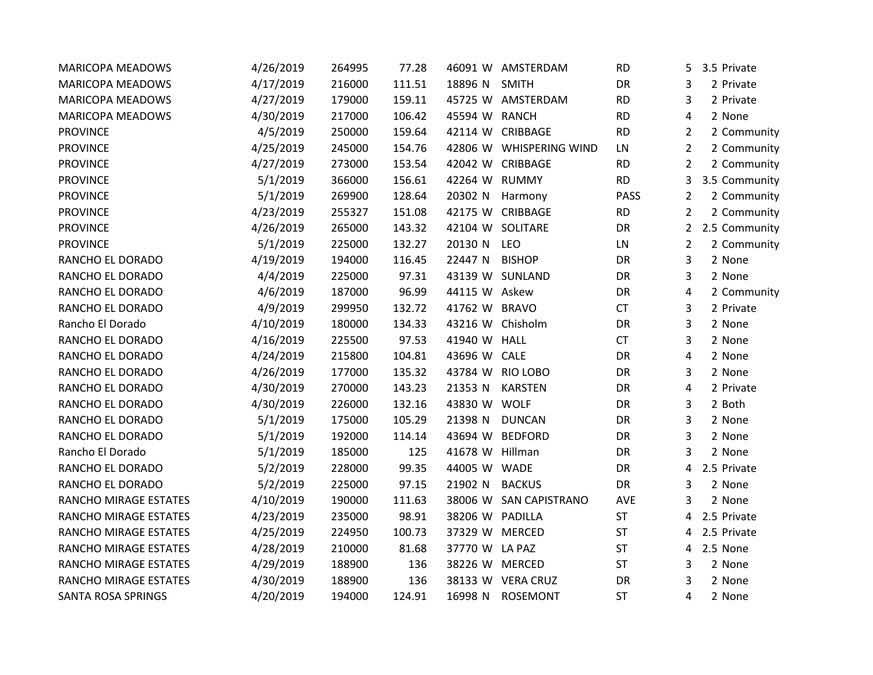| <b>MARICOPA MEADOWS</b>      | 4/26/2019 | 264995 | 77.28  |                 | 46091 W AMSTERDAM       | <b>RD</b>   | 5.             | 3.5 Private   |
|------------------------------|-----------|--------|--------|-----------------|-------------------------|-------------|----------------|---------------|
| <b>MARICOPA MEADOWS</b>      | 4/17/2019 | 216000 | 111.51 | 18896 N         | <b>SMITH</b>            | DR          | 3              | 2 Private     |
| <b>MARICOPA MEADOWS</b>      | 4/27/2019 | 179000 | 159.11 |                 | 45725 W AMSTERDAM       | <b>RD</b>   | 3              | 2 Private     |
| <b>MARICOPA MEADOWS</b>      | 4/30/2019 | 217000 | 106.42 | 45594 W RANCH   |                         | <b>RD</b>   | 4              | 2 None        |
| <b>PROVINCE</b>              | 4/5/2019  | 250000 | 159.64 |                 | 42114 W CRIBBAGE        | <b>RD</b>   | $\overline{2}$ | 2 Community   |
| <b>PROVINCE</b>              | 4/25/2019 | 245000 | 154.76 |                 | 42806 W WHISPERING WIND | LN          | $\overline{2}$ | 2 Community   |
| <b>PROVINCE</b>              | 4/27/2019 | 273000 | 153.54 |                 | 42042 W CRIBBAGE        | <b>RD</b>   | $\overline{2}$ | 2 Community   |
| <b>PROVINCE</b>              | 5/1/2019  | 366000 | 156.61 | 42264 W RUMMY   |                         | <b>RD</b>   | 3              | 3.5 Community |
| <b>PROVINCE</b>              | 5/1/2019  | 269900 | 128.64 | 20302 N         | Harmony                 | <b>PASS</b> | $\overline{2}$ | 2 Community   |
| <b>PROVINCE</b>              | 4/23/2019 | 255327 | 151.08 | 42175 W         | CRIBBAGE                | <b>RD</b>   | $\overline{2}$ | 2 Community   |
| <b>PROVINCE</b>              | 4/26/2019 | 265000 | 143.32 |                 | 42104 W SOLITARE        | DR          | $\mathbf{2}$   | 2.5 Community |
| <b>PROVINCE</b>              | 5/1/2019  | 225000 | 132.27 | 20130 N         | LEO                     | LN          | 2              | 2 Community   |
| RANCHO EL DORADO             | 4/19/2019 | 194000 | 116.45 | 22447 N         | <b>BISHOP</b>           | <b>DR</b>   | 3              | 2 None        |
| RANCHO EL DORADO             | 4/4/2019  | 225000 | 97.31  |                 | 43139 W SUNLAND         | DR          | 3              | 2 None        |
| RANCHO EL DORADO             | 4/6/2019  | 187000 | 96.99  | 44115 W Askew   |                         | DR          | 4              | 2 Community   |
| RANCHO EL DORADO             | 4/9/2019  | 299950 | 132.72 | 41762 W BRAVO   |                         | <b>CT</b>   | 3              | 2 Private     |
| Rancho El Dorado             | 4/10/2019 | 180000 | 134.33 |                 | 43216 W Chisholm        | DR          | 3              | 2 None        |
| RANCHO EL DORADO             | 4/16/2019 | 225500 | 97.53  | 41940 W HALL    |                         | <b>CT</b>   | 3              | 2 None        |
| RANCHO EL DORADO             | 4/24/2019 | 215800 | 104.81 | 43696 W CALE    |                         | <b>DR</b>   | 4              | 2 None        |
| RANCHO EL DORADO             | 4/26/2019 | 177000 | 135.32 |                 | 43784 W RIO LOBO        | DR          | 3              | 2 None        |
| RANCHO EL DORADO             | 4/30/2019 | 270000 | 143.23 | 21353 N         | <b>KARSTEN</b>          | DR          | 4              | 2 Private     |
| RANCHO EL DORADO             | 4/30/2019 | 226000 | 132.16 | 43830 W WOLF    |                         | DR          | 3              | 2 Both        |
| RANCHO EL DORADO             | 5/1/2019  | 175000 | 105.29 | 21398 N         | <b>DUNCAN</b>           | DR          | 3              | 2 None        |
| RANCHO EL DORADO             | 5/1/2019  | 192000 | 114.14 | 43694 W         | <b>BEDFORD</b>          | DR          | 3              | 2 None        |
| Rancho El Dorado             | 5/1/2019  | 185000 | 125    | 41678 W Hillman |                         | DR          | 3              | 2 None        |
| RANCHO EL DORADO             | 5/2/2019  | 228000 | 99.35  | 44005 W WADE    |                         | DR          | 4              | 2.5 Private   |
| RANCHO EL DORADO             | 5/2/2019  | 225000 | 97.15  | 21902 N         | <b>BACKUS</b>           | DR          | 3              | 2 None        |
| RANCHO MIRAGE ESTATES        | 4/10/2019 | 190000 | 111.63 | 38006 W         | <b>SAN CAPISTRANO</b>   | AVE         | 3              | 2 None        |
| <b>RANCHO MIRAGE ESTATES</b> | 4/23/2019 | 235000 | 98.91  | 38206 W PADILLA |                         | <b>ST</b>   | 4              | 2.5 Private   |
| <b>RANCHO MIRAGE ESTATES</b> | 4/25/2019 | 224950 | 100.73 | 37329 W MERCED  |                         | ST          | 4              | 2.5 Private   |
| RANCHO MIRAGE ESTATES        | 4/28/2019 | 210000 | 81.68  | 37770 W LA PAZ  |                         | ST          | 4              | 2.5 None      |
| <b>RANCHO MIRAGE ESTATES</b> | 4/29/2019 | 188900 | 136    | 38226 W MERCED  |                         | <b>ST</b>   | 3              | 2 None        |
| RANCHO MIRAGE ESTATES        | 4/30/2019 | 188900 | 136    |                 | 38133 W VERA CRUZ       | DR          | 3              | 2 None        |
| SANTA ROSA SPRINGS           | 4/20/2019 | 194000 | 124.91 | 16998 N         | ROSEMONT                | ST          | 4              | 2 None        |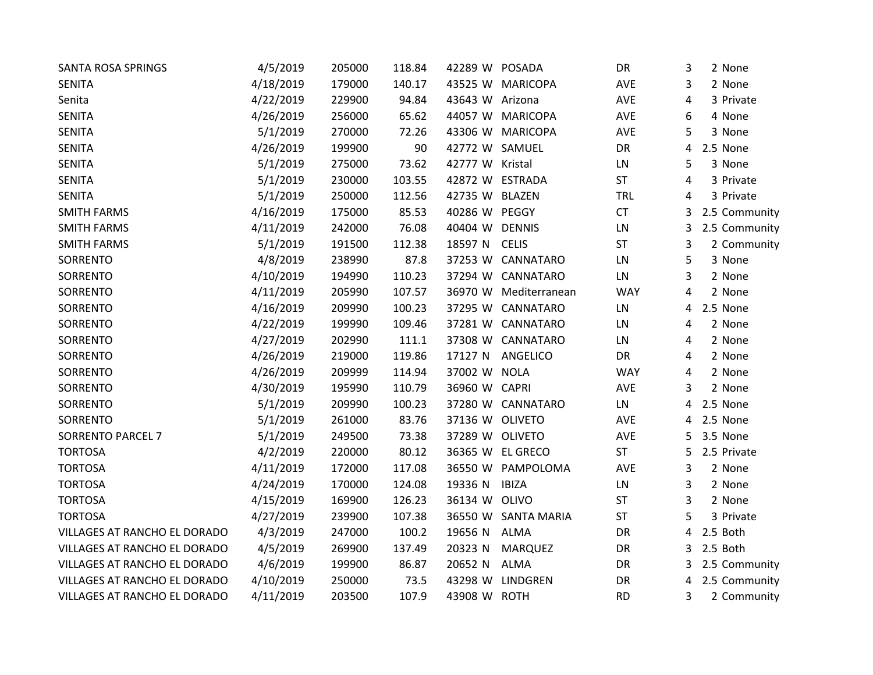| SANTA ROSA SPRINGS           | 4/5/2019  | 205000 | 118.84 | 42289 W POSADA  |                     | DR         | 3 | 2 None        |
|------------------------------|-----------|--------|--------|-----------------|---------------------|------------|---|---------------|
| <b>SENITA</b>                | 4/18/2019 | 179000 | 140.17 | 43525 W         | <b>MARICOPA</b>     | AVE        | 3 | 2 None        |
| Senita                       | 4/22/2019 | 229900 | 94.84  | 43643 W Arizona |                     | <b>AVE</b> | 4 | 3 Private     |
| <b>SENITA</b>                | 4/26/2019 | 256000 | 65.62  |                 | 44057 W MARICOPA    | AVE        | 6 | 4 None        |
| <b>SENITA</b>                | 5/1/2019  | 270000 | 72.26  |                 | 43306 W MARICOPA    | AVE        | 5 | 3 None        |
| <b>SENITA</b>                | 4/26/2019 | 199900 | 90     | 42772 W SAMUEL  |                     | DR         | 4 | 2.5 None      |
| <b>SENITA</b>                | 5/1/2019  | 275000 | 73.62  | 42777 W Kristal |                     | LN         | 5 | 3 None        |
| <b>SENITA</b>                | 5/1/2019  | 230000 | 103.55 | 42872 W         | <b>ESTRADA</b>      | ST         | 4 | 3 Private     |
| <b>SENITA</b>                | 5/1/2019  | 250000 | 112.56 | 42735 W         | <b>BLAZEN</b>       | <b>TRL</b> | 4 | 3 Private     |
| <b>SMITH FARMS</b>           | 4/16/2019 | 175000 | 85.53  | 40286 W PEGGY   |                     | CT         | 3 | 2.5 Community |
| <b>SMITH FARMS</b>           | 4/11/2019 | 242000 | 76.08  | 40404 W         | <b>DENNIS</b>       | LN         | 3 | 2.5 Community |
| <b>SMITH FARMS</b>           | 5/1/2019  | 191500 | 112.38 | 18597 N         | <b>CELIS</b>        | ST         | 3 | 2 Community   |
| SORRENTO                     | 4/8/2019  | 238990 | 87.8   | 37253 W         | CANNATARO           | LN         | 5 | 3 None        |
| SORRENTO                     | 4/10/2019 | 194990 | 110.23 | 37294 W         | CANNATARO           | LN         | 3 | 2 None        |
| SORRENTO                     | 4/11/2019 | 205990 | 107.57 | 36970 W         | Mediterranean       | <b>WAY</b> | 4 | 2 None        |
| SORRENTO                     | 4/16/2019 | 209990 | 100.23 | 37295 W         | CANNATARO           | LN         | 4 | 2.5 None      |
| SORRENTO                     | 4/22/2019 | 199990 | 109.46 | 37281 W         | CANNATARO           | LN         | 4 | 2 None        |
| SORRENTO                     | 4/27/2019 | 202990 | 111.1  | 37308 W         | CANNATARO           | LN         | 4 | 2 None        |
| SORRENTO                     | 4/26/2019 | 219000 | 119.86 | 17127 N         | ANGELICO            | DR         | 4 | 2 None        |
| SORRENTO                     | 4/26/2019 | 209999 | 114.94 | 37002 W NOLA    |                     | <b>WAY</b> | 4 | 2 None        |
| SORRENTO                     | 4/30/2019 | 195990 | 110.79 | 36960 W CAPRI   |                     | AVE        | 3 | 2 None        |
| SORRENTO                     | 5/1/2019  | 209990 | 100.23 |                 | 37280 W CANNATARO   | LN         | 4 | 2.5 None      |
| SORRENTO                     | 5/1/2019  | 261000 | 83.76  | 37136 W OLIVETO |                     | <b>AVE</b> | 4 | 2.5 None      |
| <b>SORRENTO PARCEL 7</b>     | 5/1/2019  | 249500 | 73.38  | 37289 W OLIVETO |                     | AVE        | 5 | 3.5 None      |
| <b>TORTOSA</b>               | 4/2/2019  | 220000 | 80.12  |                 | 36365 W EL GRECO    | <b>ST</b>  | 5 | 2.5 Private   |
| <b>TORTOSA</b>               | 4/11/2019 | 172000 | 117.08 | 36550 W         | PAMPOLOMA           | AVE        | 3 | 2 None        |
| <b>TORTOSA</b>               | 4/24/2019 | 170000 | 124.08 | 19336 N         | <b>IBIZA</b>        | LN         | 3 | 2 None        |
| <b>TORTOSA</b>               | 4/15/2019 | 169900 | 126.23 | 36134 W OLIVO   |                     | ST         | 3 | 2 None        |
| <b>TORTOSA</b>               | 4/27/2019 | 239900 | 107.38 |                 | 36550 W SANTA MARIA | ST         | 5 | 3 Private     |
| VILLAGES AT RANCHO EL DORADO | 4/3/2019  | 247000 | 100.2  | 19656 N         | ALMA                | DR         | 4 | 2.5 Both      |
| VILLAGES AT RANCHO EL DORADO | 4/5/2019  | 269900 | 137.49 | 20323 N         | MARQUEZ             | DR         | 3 | 2.5 Both      |
| VILLAGES AT RANCHO EL DORADO | 4/6/2019  | 199900 | 86.87  | 20652 N         | ALMA                | DR         | 3 | 2.5 Community |
| VILLAGES AT RANCHO EL DORADO | 4/10/2019 | 250000 | 73.5   | 43298 W         | LINDGREN            | DR         | 4 | 2.5 Community |
| VILLAGES AT RANCHO EL DORADO | 4/11/2019 | 203500 | 107.9  | 43908 W ROTH    |                     | <b>RD</b>  | 3 | 2 Community   |